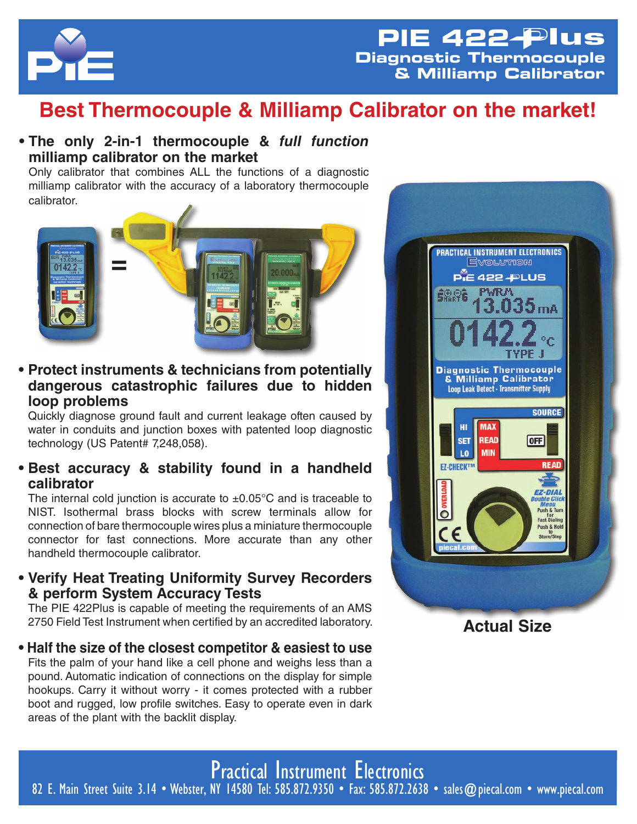

# **Best Thermocouple & Milliamp Calibrator on the market!**

### **• The only 2-in-1 thermocouple &** *full function*  **milliamp calibrator on the market**

Only calibrator that combines ALL the functions of a diagnostic milliamp calibrator with the accuracy of a laboratory thermocouple calibrator.



## **• Protect instruments & technicians from potentially dangerous catastrophic failures due to hidden loop problems**

Quickly diagnose ground fault and current leakage often caused by water in conduits and junction boxes with patented loop diagnostic technology (US Patent# 7,248,058).

# **• Best accuracy & stability found in a handheld calibrator**

The internal cold junction is accurate to  $\pm 0.05^{\circ}$ C and is traceable to NIST. Isothermal brass blocks with screw terminals allow for connection of bare thermocouple wires plus a miniature thermocouple connector for fast connections. More accurate than any other handheld thermocouple calibrator.

# **• Verify Heat Treating Uniformity Survey Recorders & perform System Accuracy Tests**

The PIE 422Plus is capable of meeting the requirements of an AMS 2750 Field Test Instrument when certified by an accredited laboratory.

**• Half the size of the closest competitor & easiest to use** Fits the palm of your hand like a cell phone and weighs less than a pound. Automatic indication of connections on the display for simple hookups. Carry it without worry - it comes protected with a rubber boot and rugged, low profile switches. Easy to operate even in dark areas of the plant with the backlit display.



Practical Instrument Electronics 82 E. Main Street Suite 3.14 • Webster, NY 14580 Tel: 585.872.9350 • Fax: 585.872.2638 • sales@piecal.com • www.piecal.com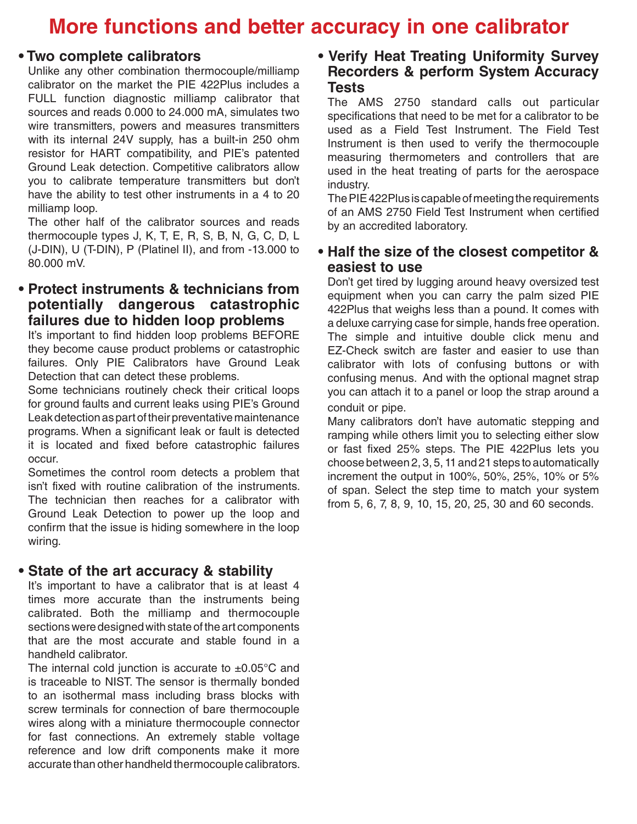# **More functions and better accuracy in one calibrator**

#### **• Two complete calibrators**

Unlike any other combination thermocouple/milliamp calibrator on the market the PIE 422Plus includes a FULL function diagnostic milliamp calibrator that sources and reads 0.000 to 24.000 mA, simulates two wire transmitters, powers and measures transmitters with its internal 24V supply, has a built-in 250 ohm resistor for HART compatibility, and PIE's patented Ground Leak detection. Competitive calibrators allow you to calibrate temperature transmitters but don't have the ability to test other instruments in a 4 to 20 milliamp loop.

The other half of the calibrator sources and reads thermocouple types J, K, T, E, R, S, B, N, G, C, D, L (J-DIN), U (T-DIN), P (Platinel II), and from -13.000 to 80.000 mV.

### **• Protect instruments & technicians from potentially dangerous catastrophic failures due to hidden loop problems**

It's important to find hidden loop problems BEFORE they become cause product problems or catastrophic failures. Only PIE Calibrators have Ground Leak Detection that can detect these problems.

Some technicians routinely check their critical loops for ground faults and current leaks using PIE's Ground Leak detection as part of their preventative maintenance programs. When a significant leak or fault is detected it is located and fixed before catastrophic failures occur.

Sometimes the control room detects a problem that isn't fixed with routine calibration of the instruments. The technician then reaches for a calibrator with Ground Leak Detection to power up the loop and confirm that the issue is hiding somewhere in the loop wiring.

#### **• State of the art accuracy & stability**

It's important to have a calibrator that is at least 4 times more accurate than the instruments being calibrated. Both the milliamp and thermocouple sections were designed with state of the art components that are the most accurate and stable found in a handheld calibrator.

The internal cold junction is accurate to  $\pm 0.05^{\circ}$ C and is traceable to NIST. The sensor is thermally bonded to an isothermal mass including brass blocks with screw terminals for connection of bare thermocouple wires along with a miniature thermocouple connector for fast connections. An extremely stable voltage reference and low drift components make it more accurate than other handheld thermocouple calibrators.

### **• Verify Heat Treating Uniformity Survey Recorders & perform System Accuracy Tests**

The AMS 2750 standard calls out particular specifications that need to be met for a calibrator to be used as a Field Test Instrument. The Field Test Instrument is then used to verify the thermocouple measuring thermometers and controllers that are used in the heat treating of parts for the aerospace industry.

The PIE 422Plus is capable of meeting the requirements of an AMS 2750 Field Test Instrument when certified by an accredited laboratory.

### **• Half the size of the closest competitor & easiest to use**

Don't get tired by lugging around heavy oversized test equipment when you can carry the palm sized PIE 422Plus that weighs less than a pound. It comes with a deluxe carrying case for simple, hands free operation. The simple and intuitive double click menu and EZ-Check switch are faster and easier to use than calibrator with lots of confusing buttons or with confusing menus. And with the optional magnet strap you can attach it to a panel or loop the strap around a conduit or pipe.

Many calibrators don't have automatic stepping and ramping while others limit you to selecting either slow or fast fixed 25% steps. The PIE 422Plus lets you choose between 2, 3, 5, 11 and 21 steps to automatically increment the output in 100%, 50%, 25%, 10% or 5% of span. Select the step time to match your system from 5, 6, 7, 8, 9, 10, 15, 20, 25, 30 and 60 seconds.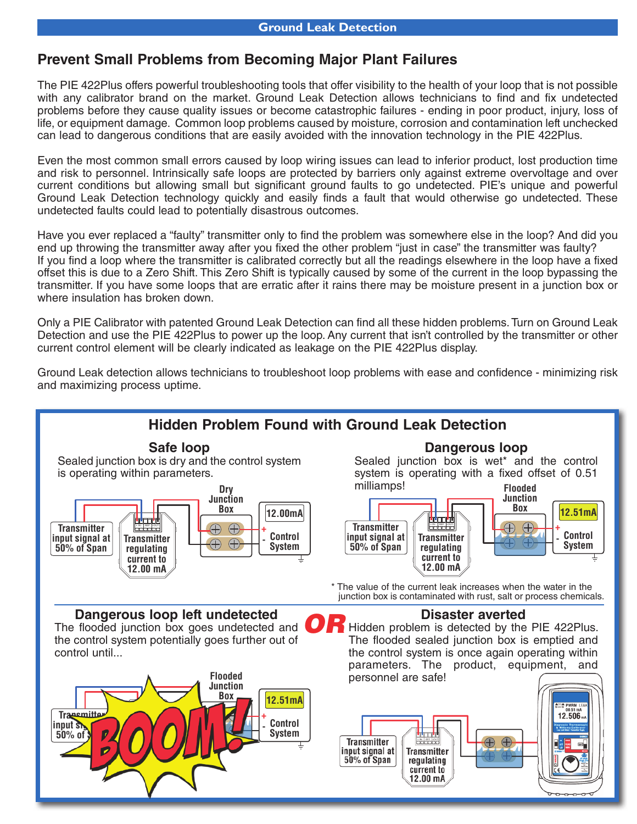# **Prevent Small Problems from Becoming Major Plant Failures**

The PIE 422Plus offers powerful troubleshooting tools that offer visibility to the health of your loop that is not possible with any calibrator brand on the market. Ground Leak Detection allows technicians to find and fix undetected problems before they cause quality issues or become catastrophic failures - ending in poor product, injury, loss of life, or equipment damage. Common loop problems caused by moisture, corrosion and contamination left unchecked can lead to dangerous conditions that are easily avoided with the innovation technology in the PIE 422Plus.

Even the most common small errors caused by loop wiring issues can lead to inferior product, lost production time and risk to personnel. Intrinsically safe loops are protected by barriers only against extreme overvoltage and over current conditions but allowing small but significant ground faults to go undetected. PIE's unique and powerful Ground Leak Detection technology quickly and easily finds a fault that would otherwise go undetected. These undetected faults could lead to potentially disastrous outcomes.

Have you ever replaced a "faulty" transmitter only to find the problem was somewhere else in the loop? And did you end up throwing the transmitter away after you fixed the other problem "just in case" the transmitter was faulty? If you find a loop where the transmitter is calibrated correctly but all the readings elsewhere in the loop have a fixed offset this is due to a Zero Shift. This Zero Shift is typically caused by some of the current in the loop bypassing the transmitter. If you have some loops that are erratic after it rains there may be moisture present in a junction box or where insulation has broken down.

Only a PIE Calibrator with patented Ground Leak Detection can find all these hidden problems. Turn on Ground Leak Detection and use the PIE 422Plus to power up the loop. Any current that isn't controlled by the transmitter or other current control element will be clearly indicated as leakage on the PIE 422Plus display.

Ground Leak detection allows technicians to troubleshoot loop problems with ease and confidence - minimizing risk and maximizing process uptime.

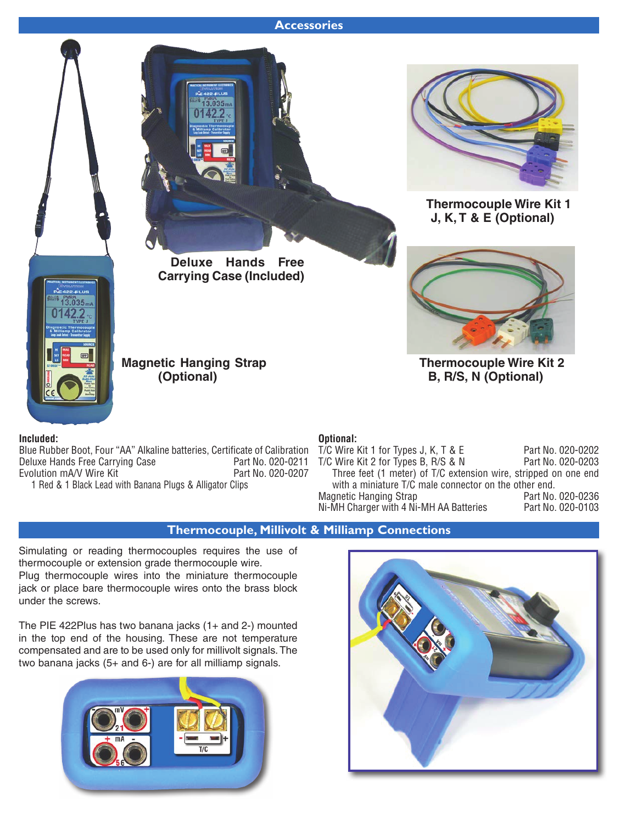#### **Accessories**



**Deluxe Hands Free Carrying Case (Included)**



**Thermocouple Wire Kit 1 J, K, T & E (Optional)**



**Thermocouple Wire Kit 2 B, R/S, N (Optional)**

**Magnetic Hanging Strap (Optional)**

#### **Included:**

Blue Rubber Boot, Four "AA" Alkaline batteries, Certificate of Calibration Deluxe Hands Free Carrying Case Part No. 020-0211 Evolution mA/V Wire Kit 1 Red & 1 Black Lead with Banana Plugs & Alligator Clips

#### **Optional:**

| T/C Wire Kit 1 for Types J, K, T & E                            | Part No. 020-0202 |
|-----------------------------------------------------------------|-------------------|
| T/C Wire Kit 2 for Types B, R/S & N                             | Part No. 020-0203 |
| Three feet (1 meter) of T/C extension wire, stripped on one end |                   |
| with a miniature T/C male connector on the other end.           |                   |
| <b>Magnetic Hanging Strap</b>                                   | Part No. 020-0236 |
| Ni-MH Charger with 4 Ni-MH AA Batteries                         | Part No. 020-0103 |
|                                                                 |                   |

#### **Thermocouple, Millivolt & Milliamp Connections**

Simulating or reading thermocouples requires the use of thermocouple or extension grade thermocouple wire. Plug thermocouple wires into the miniature thermocouple jack or place bare thermocouple wires onto the brass block under the screws.

The PIE 422Plus has two banana jacks (1+ and 2-) mounted in the top end of the housing. These are not temperature compensated and are to be used only for millivolt signals. The two banana jacks (5+ and 6-) are for all milliamp signals.



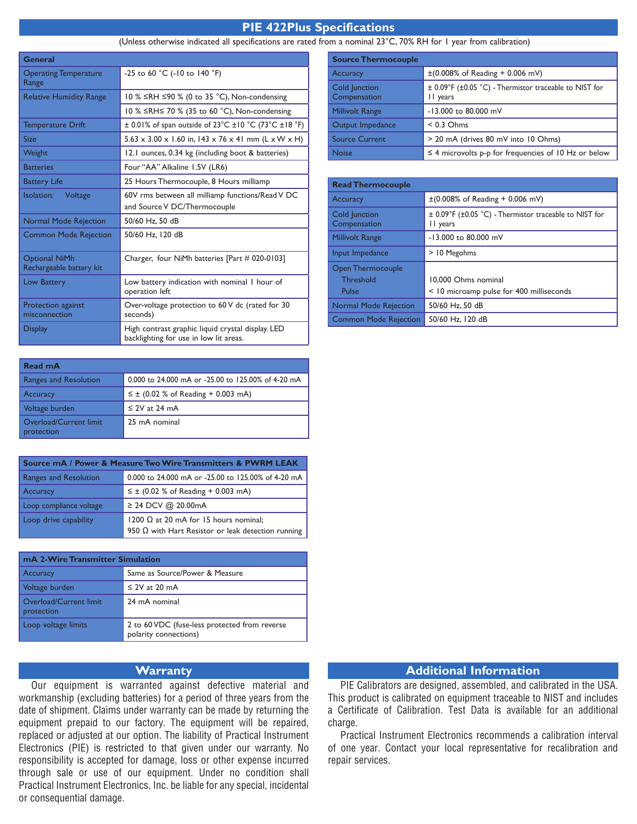#### **PIE 422Plus Specifications**

#### (Unless otherwise indicated all specifications are rated from a nominal 23°C, 70% RH for 1 year from calibration)

| General                                          |                                                                                             |  |  |  |  |
|--------------------------------------------------|---------------------------------------------------------------------------------------------|--|--|--|--|
| <b>Operating Temperature</b><br>Range            | -25 to 60 °C (-10 to 140 °F)                                                                |  |  |  |  |
| <b>Relative Humidity Range</b>                   | 10 % ≤RH ≤90 % (0 to 35 °C), Non-condensing                                                 |  |  |  |  |
|                                                  | 10 % ≤RH≤ 70 % (35 to 60 °C), Non-condensing                                                |  |  |  |  |
| <b>Temperature Drift</b>                         | $\pm$ 0.01% of span outside of 23°C $\pm$ 10 °C (73°C $\pm$ 18 °F)                          |  |  |  |  |
| <b>Size</b>                                      | $5.63 \times 3.00 \times 1.60$ in, 143 x 76 x 41 mm (L x W x H)                             |  |  |  |  |
| Weight                                           | 12.1 ounces, 0.34 kg (including boot & batteries)                                           |  |  |  |  |
| <b>Batteries</b>                                 | Four "AA" Alkaline 1.5V (LR6)                                                               |  |  |  |  |
| <b>Battery Life</b>                              | 25 Hours Thermocouple, 8 Hours milliamp                                                     |  |  |  |  |
| Isolation: Voltage                               | 60V rms between all milliamp functions/Read V DC<br>and Source V DC/Thermocouple            |  |  |  |  |
| <b>Normal Mode Rejection</b>                     | 50/60 Hz, 50 dB                                                                             |  |  |  |  |
| <b>Common Mode Rejection</b>                     | 50/60 Hz, 120 dB                                                                            |  |  |  |  |
| <b>Optional NiMh</b><br>Rechargeable battery kit | Charger, four NiMh batteries [Part # 020-0103]                                              |  |  |  |  |
| <b>Low Battery</b>                               | Low battery indication with nominal I hour of<br>operation left                             |  |  |  |  |
| Protection against<br>misconnection              | Over-voltage protection to 60V dc (rated for 30<br>seconds)                                 |  |  |  |  |
| <b>Display</b>                                   | High contrast graphic liquid crystal display. LED<br>backlighting for use in low lit areas. |  |  |  |  |

| Read mA                                           |                                                    |
|---------------------------------------------------|----------------------------------------------------|
| <b>Ranges and Resolution</b>                      | 0.000 to 24.000 mA or -25.00 to 125.00% of 4-20 mA |
| Accuracy                                          | $\leq \pm$ (0.02 % of Reading + 0.003 mA)          |
| Voltage burden                                    | $\leq$ 2V at 24 mA                                 |
| Overload/Current limit<br>protection <sup>'</sup> | 25 mA nominal                                      |

| <b>Source mA / Power &amp; Measure Two Wire Transmitters &amp; PWRM LEAK</b> |                                                                                                           |  |  |  |  |
|------------------------------------------------------------------------------|-----------------------------------------------------------------------------------------------------------|--|--|--|--|
| Ranges and Resolution                                                        | 0.000 to 24.000 mA or -25.00 to 125.00% of 4-20 mA                                                        |  |  |  |  |
| Accuracy                                                                     | $\leq \pm$ (0.02 % of Reading + 0.003 mA)                                                                 |  |  |  |  |
| Loop compliance voltage                                                      | ≥ 24 DCV @ 20.00mA                                                                                        |  |  |  |  |
| Loop drive capability                                                        | 1200 $\Omega$ at 20 mA for 15 hours nominal;<br>950 $\Omega$ with Hart Resistor or leak detection running |  |  |  |  |

| mA 2-Wire Transmitter Simulation     |                                                                        |  |  |  |  |
|--------------------------------------|------------------------------------------------------------------------|--|--|--|--|
| <b>Accuracy</b>                      | Same as Source/Power & Measure                                         |  |  |  |  |
| Voltage burden                       | $\leq$ 2V at 20 mA                                                     |  |  |  |  |
| Overload/Current limit<br>protection | 24 mA nominal                                                          |  |  |  |  |
| Loop voltage limits                  | 2 to 60 VDC (fuse-less protected from reverse<br>polarity connections) |  |  |  |  |

#### **Warranty**

Our equipment is warranted against defective material and workmanship (excluding batteries) for a period of three years from the date of shipment. Claims under warranty can be made by returning the equipment prepaid to our factory. The equipment will be repaired, replaced or adjusted at our option. The liability of Practical Instrument Electronics (PIE) is restricted to that given under our warranty. No responsibility is accepted for damage, loss or other expense incurred through sale or use of our equipment. Under no condition shall Practical Instrument Electronics, Inc. be liable for any special, incidental or consequential damage.

| <b>Source Thermocouple</b>    |                                                                    |
|-------------------------------|--------------------------------------------------------------------|
| <b>Accuracy</b>               | $\pm (0.008\% \text{ of Reading} + 0.006 \text{ mV})$              |
| Cold Junction<br>Compensation | ± 0.09°F (±0.05 °C) - Thermistor traceable to NIST for<br>II years |
| <b>Millivolt Range</b>        | -13,000 to 80,000 mV                                               |
| Output Impedance              | $< 0.3$ Ohms                                                       |
| <b>Source Current</b>         | > 20 mA (drives 80 mV into 10 Ohms)                                |
| <b>Noise</b>                  | $\leq$ 4 microvolts p-p for frequencies of 10 Hz or below          |

| <b>Read Thermocouple</b>                       |                                                                    |
|------------------------------------------------|--------------------------------------------------------------------|
| <b>Accuracy</b>                                | $\pm (0.008\% \text{ of Reading } + 0.006 \text{ mV})$             |
| Cold Junction<br>Compensation                  | ± 0.09°F (±0.05 °C) - Thermistor traceable to NIST for<br>II years |
| <b>Millivolt Range</b>                         | -13,000 to 80,000 mV                                               |
| Input Impedance                                | > 10 Megohms                                                       |
| <b>Open Thermocouple</b><br>Threshold<br>Pulse | 10,000 Ohms nominal<br>< 10 microamp pulse for 400 milliseconds    |
| <b>Normal Mode Rejection</b>                   | 50/60 Hz, 50 dB                                                    |
| <b>Common Mode Rejection</b>                   | 50/60 Hz, 120 dB                                                   |

#### **Additional Information**

PIE Calibrators are designed, assembled, and calibrated in the USA. This product is calibrated on equipment traceable to NIST and includes a Certificate of Calibration. Test Data is available for an additional charge.

Practical Instrument Electronics recommends a calibration interval of one year. Contact your local representative for recalibration and repair services.